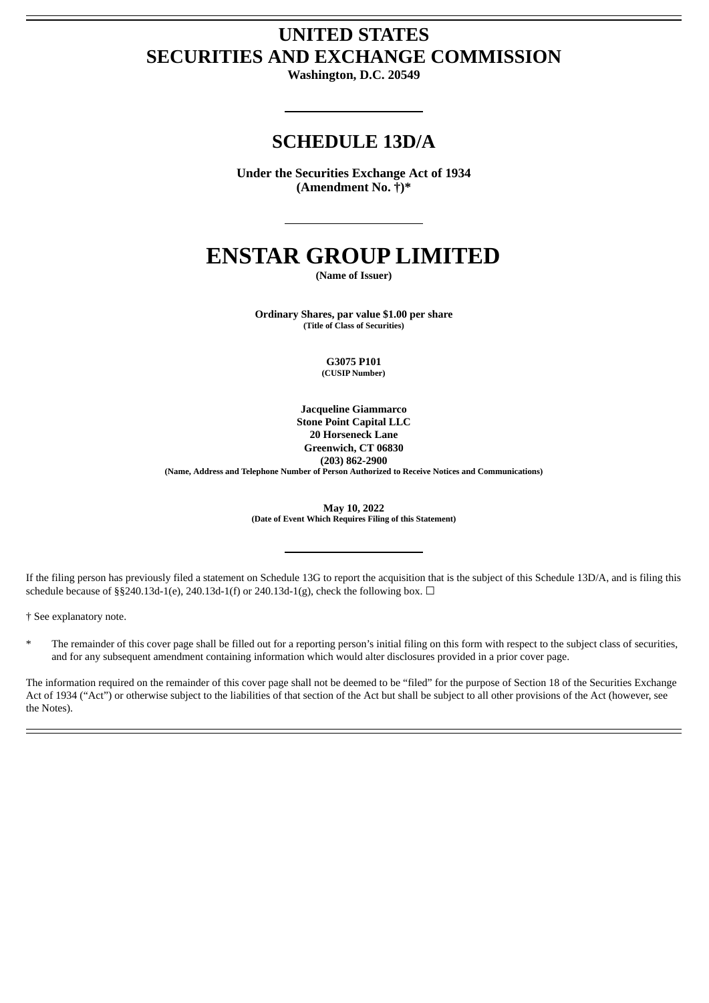# **UNITED STATES SECURITIES AND EXCHANGE COMMISSION**

**Washington, D.C. 20549**

# **SCHEDULE 13D/A**

**Under the Securities Exchange Act of 1934 (Amendment No. †)\***

# **ENSTAR GROUP LIMITED**

**(Name of Issuer)**

**Ordinary Shares, par value \$1.00 per share (Title of Class of Securities)**

> **G3075 P101 (CUSIP Number)**

**Jacqueline Giammarco Stone Point Capital LLC 20 Horseneck Lane Greenwich, CT 06830 (203) 862-2900 (Name, Address and Telephone Number of Person Authorized to Receive Notices and Communications)**

> **May 10, 2022 (Date of Event Which Requires Filing of this Statement)**

If the filing person has previously filed a statement on Schedule 13G to report the acquisition that is the subject of this Schedule 13D/A, and is filing this schedule because of §§240.13d-1(e), 240.13d-1(f) or 240.13d-1(g), check the following box.  $\Box$ 

† See explanatory note.

The remainder of this cover page shall be filled out for a reporting person's initial filing on this form with respect to the subject class of securities, and for any subsequent amendment containing information which would alter disclosures provided in a prior cover page.

The information required on the remainder of this cover page shall not be deemed to be "filed" for the purpose of Section 18 of the Securities Exchange Act of 1934 ("Act") or otherwise subject to the liabilities of that section of the Act but shall be subject to all other provisions of the Act (however, see the Notes).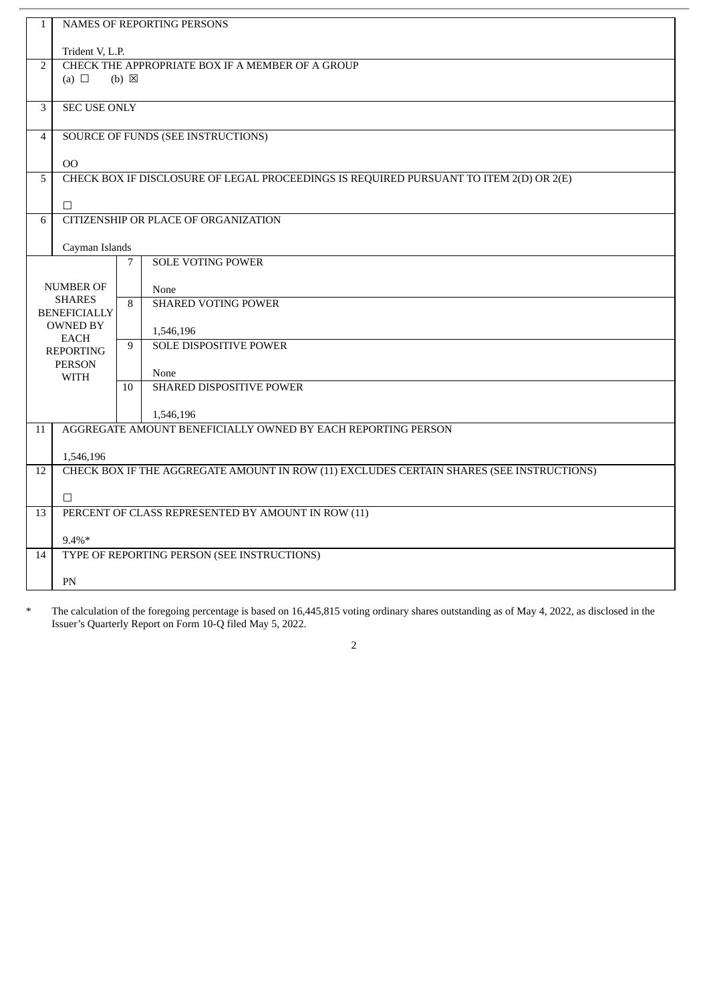| $\mathbf{1}$   | <b>NAMES OF REPORTING PERSONS</b>                  |                 |                                                                                          |  |  |  |
|----------------|----------------------------------------------------|-----------------|------------------------------------------------------------------------------------------|--|--|--|
|                | Trident V, L.P.                                    |                 |                                                                                          |  |  |  |
| $\overline{2}$ | CHECK THE APPROPRIATE BOX IF A MEMBER OF A GROUP   |                 |                                                                                          |  |  |  |
|                | (a) $\Box$                                         | $(b) \boxtimes$ |                                                                                          |  |  |  |
|                |                                                    |                 |                                                                                          |  |  |  |
| 3              | <b>SEC USE ONLY</b>                                |                 |                                                                                          |  |  |  |
|                |                                                    |                 |                                                                                          |  |  |  |
| $\overline{4}$ |                                                    |                 | <b>SOURCE OF FUNDS (SEE INSTRUCTIONS)</b>                                                |  |  |  |
|                |                                                    |                 |                                                                                          |  |  |  |
|                | O <sub>O</sub>                                     |                 |                                                                                          |  |  |  |
| 5              |                                                    |                 | CHECK BOX IF DISCLOSURE OF LEGAL PROCEEDINGS IS REQUIRED PURSUANT TO ITEM 2(D) OR 2(E)   |  |  |  |
|                | $\Box$                                             |                 |                                                                                          |  |  |  |
| 6              |                                                    |                 | <b>CITIZENSHIP OR PLACE OF ORGANIZATION</b>                                              |  |  |  |
|                |                                                    |                 |                                                                                          |  |  |  |
|                | Cayman Islands                                     |                 |                                                                                          |  |  |  |
|                |                                                    | 7               | <b>SOLE VOTING POWER</b>                                                                 |  |  |  |
|                |                                                    |                 |                                                                                          |  |  |  |
|                | <b>NUMBER OF</b><br><b>SHARES</b>                  |                 | None                                                                                     |  |  |  |
|                | <b>BENEFICIALLY</b>                                | 8               | <b>SHARED VOTING POWER</b>                                                               |  |  |  |
|                | <b>OWNED BY</b>                                    |                 |                                                                                          |  |  |  |
|                | <b>EACH</b>                                        | 9               | 1,546,196<br><b>SOLE DISPOSITIVE POWER</b>                                               |  |  |  |
|                | <b>REPORTING</b>                                   |                 |                                                                                          |  |  |  |
|                | <b>PERSON</b><br><b>WITH</b>                       |                 | None                                                                                     |  |  |  |
|                |                                                    | 10              | SHARED DISPOSITIVE POWER                                                                 |  |  |  |
|                |                                                    |                 |                                                                                          |  |  |  |
|                |                                                    |                 | 1,546,196                                                                                |  |  |  |
| 11             |                                                    |                 | AGGREGATE AMOUNT BENEFICIALLY OWNED BY EACH REPORTING PERSON                             |  |  |  |
|                |                                                    |                 |                                                                                          |  |  |  |
|                | 1,546,196                                          |                 |                                                                                          |  |  |  |
| 12             |                                                    |                 | CHECK BOX IF THE AGGREGATE AMOUNT IN ROW (11) EXCLUDES CERTAIN SHARES (SEE INSTRUCTIONS) |  |  |  |
|                | $\Box$                                             |                 |                                                                                          |  |  |  |
| 13             | PERCENT OF CLASS REPRESENTED BY AMOUNT IN ROW (11) |                 |                                                                                          |  |  |  |
|                |                                                    |                 |                                                                                          |  |  |  |
|                | $9.4\%*$                                           |                 |                                                                                          |  |  |  |
| 14             |                                                    |                 | TYPE OF REPORTING PERSON (SEE INSTRUCTIONS)                                              |  |  |  |
|                |                                                    |                 |                                                                                          |  |  |  |
|                | PN                                                 |                 |                                                                                          |  |  |  |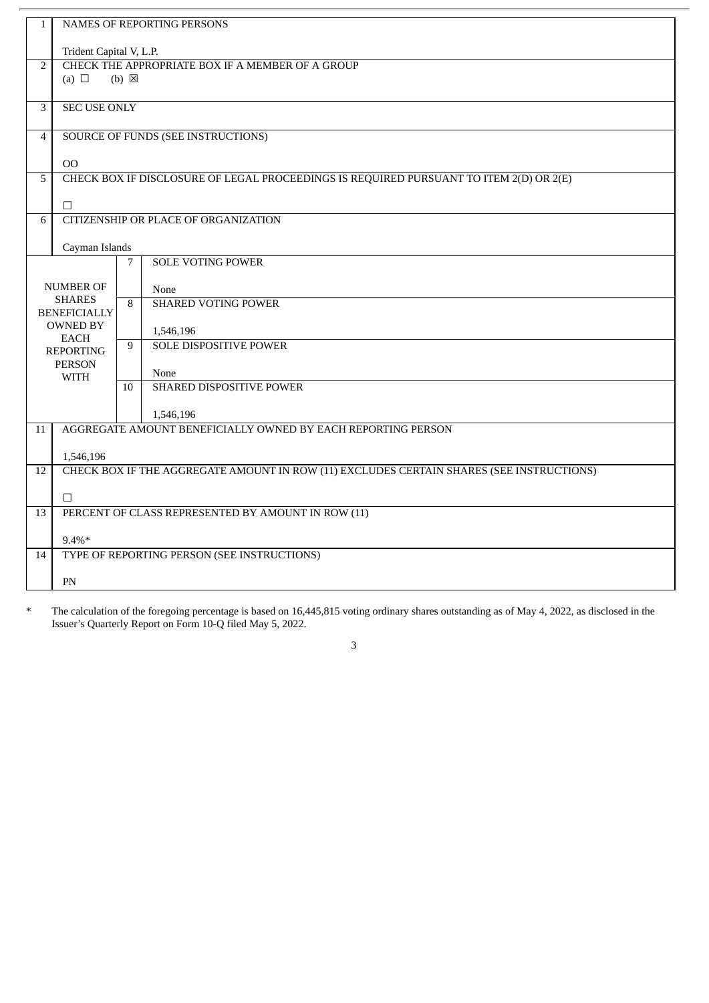| $\mathbf{1}$   |                                                    |                 | <b>NAMES OF REPORTING PERSONS</b>                                                        |  |  |  |
|----------------|----------------------------------------------------|-----------------|------------------------------------------------------------------------------------------|--|--|--|
|                |                                                    |                 |                                                                                          |  |  |  |
|                | Trident Capital V, L.P.                            |                 |                                                                                          |  |  |  |
| $\overline{2}$ | (a) $\Box$                                         | $(b) \boxtimes$ | CHECK THE APPROPRIATE BOX IF A MEMBER OF A GROUP                                         |  |  |  |
|                |                                                    |                 |                                                                                          |  |  |  |
| 3              | <b>SEC USE ONLY</b>                                |                 |                                                                                          |  |  |  |
|                |                                                    |                 |                                                                                          |  |  |  |
| $\overline{4}$ |                                                    |                 | <b>SOURCE OF FUNDS (SEE INSTRUCTIONS)</b>                                                |  |  |  |
|                | O <sub>O</sub>                                     |                 |                                                                                          |  |  |  |
| 5              |                                                    |                 | CHECK BOX IF DISCLOSURE OF LEGAL PROCEEDINGS IS REQUIRED PURSUANT TO ITEM 2(D) OR 2(E)   |  |  |  |
|                |                                                    |                 |                                                                                          |  |  |  |
| 6              | $\Box$                                             |                 | CITIZENSHIP OR PLACE OF ORGANIZATION                                                     |  |  |  |
|                |                                                    |                 |                                                                                          |  |  |  |
|                | Cayman Islands                                     |                 |                                                                                          |  |  |  |
|                |                                                    | 7               | <b>SOLE VOTING POWER</b>                                                                 |  |  |  |
|                | <b>NUMBER OF</b>                                   |                 | None                                                                                     |  |  |  |
|                | <b>SHARES</b>                                      | 8               | <b>SHARED VOTING POWER</b>                                                               |  |  |  |
|                | <b>BENEFICIALLY</b><br><b>OWNED BY</b>             |                 |                                                                                          |  |  |  |
|                | <b>EACH</b>                                        |                 | 1,546,196                                                                                |  |  |  |
|                | <b>REPORTING</b>                                   | 9               | <b>SOLE DISPOSITIVE POWER</b>                                                            |  |  |  |
|                | <b>PERSON</b><br><b>WITH</b>                       |                 | None                                                                                     |  |  |  |
|                |                                                    | 10              | SHARED DISPOSITIVE POWER                                                                 |  |  |  |
|                |                                                    |                 |                                                                                          |  |  |  |
| 11             |                                                    |                 | 1,546,196<br>AGGREGATE AMOUNT BENEFICIALLY OWNED BY EACH REPORTING PERSON                |  |  |  |
|                |                                                    |                 |                                                                                          |  |  |  |
|                | 1,546,196                                          |                 |                                                                                          |  |  |  |
| 12             |                                                    |                 | CHECK BOX IF THE AGGREGATE AMOUNT IN ROW (11) EXCLUDES CERTAIN SHARES (SEE INSTRUCTIONS) |  |  |  |
|                | $\Box$                                             |                 |                                                                                          |  |  |  |
| 13             | PERCENT OF CLASS REPRESENTED BY AMOUNT IN ROW (11) |                 |                                                                                          |  |  |  |
|                |                                                    |                 |                                                                                          |  |  |  |
| 14             | $9.4\%*$                                           |                 | TYPE OF REPORTING PERSON (SEE INSTRUCTIONS)                                              |  |  |  |
|                |                                                    |                 |                                                                                          |  |  |  |
|                | PN                                                 |                 |                                                                                          |  |  |  |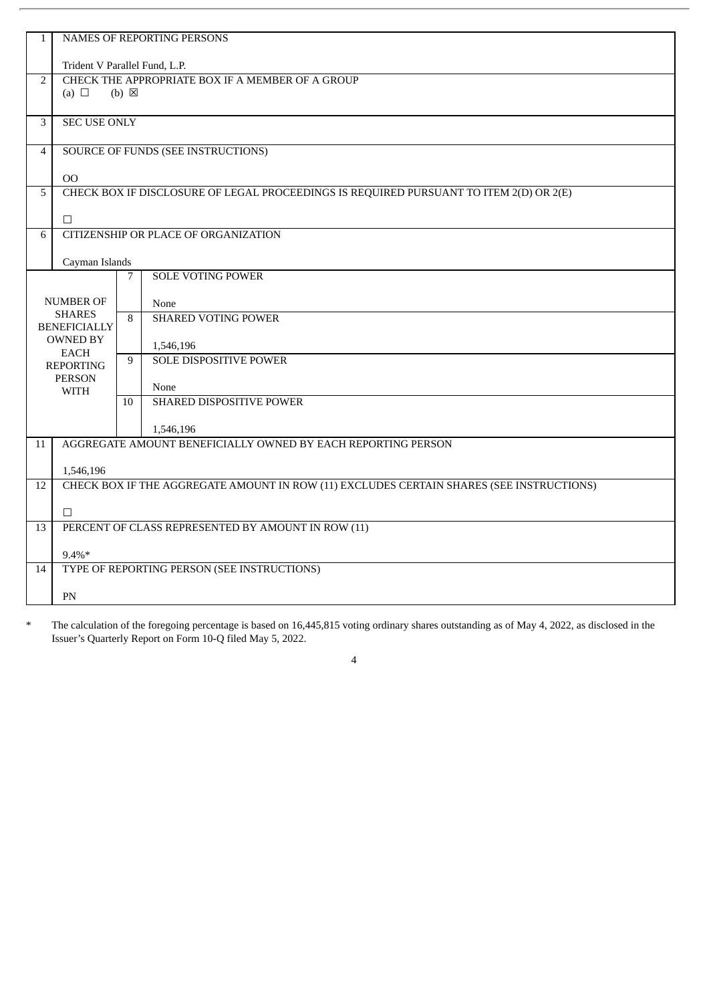| $\mathbf{1}$   | <b>NAMES OF REPORTING PERSONS</b>                                                                                   |                 |                                                                                          |  |  |  |
|----------------|---------------------------------------------------------------------------------------------------------------------|-----------------|------------------------------------------------------------------------------------------|--|--|--|
|                |                                                                                                                     |                 |                                                                                          |  |  |  |
|                | Trident V Parallel Fund, L.P.                                                                                       |                 |                                                                                          |  |  |  |
| $\overline{2}$ |                                                                                                                     |                 | CHECK THE APPROPRIATE BOX IF A MEMBER OF A GROUP                                         |  |  |  |
|                | (a) $\Box$                                                                                                          | $(b) \boxtimes$ |                                                                                          |  |  |  |
|                |                                                                                                                     |                 |                                                                                          |  |  |  |
| 3              | <b>SEC USE ONLY</b>                                                                                                 |                 |                                                                                          |  |  |  |
|                |                                                                                                                     |                 |                                                                                          |  |  |  |
| $\overline{4}$ |                                                                                                                     |                 | <b>SOURCE OF FUNDS (SEE INSTRUCTIONS)</b>                                                |  |  |  |
|                |                                                                                                                     |                 |                                                                                          |  |  |  |
|                | OO                                                                                                                  |                 |                                                                                          |  |  |  |
| 5              |                                                                                                                     |                 | CHECK BOX IF DISCLOSURE OF LEGAL PROCEEDINGS IS REQUIRED PURSUANT TO ITEM 2(D) OR 2(E)   |  |  |  |
|                | $\Box$                                                                                                              |                 |                                                                                          |  |  |  |
| 6              |                                                                                                                     |                 | CITIZENSHIP OR PLACE OF ORGANIZATION                                                     |  |  |  |
|                |                                                                                                                     |                 |                                                                                          |  |  |  |
|                | Cayman Islands                                                                                                      |                 |                                                                                          |  |  |  |
|                |                                                                                                                     | 7               | <b>SOLE VOTING POWER</b>                                                                 |  |  |  |
|                |                                                                                                                     |                 |                                                                                          |  |  |  |
|                | <b>NUMBER OF</b>                                                                                                    |                 | None                                                                                     |  |  |  |
|                | <b>SHARES</b>                                                                                                       | 8               | <b>SHARED VOTING POWER</b>                                                               |  |  |  |
|                | <b>BENEFICIALLY</b>                                                                                                 |                 |                                                                                          |  |  |  |
|                | <b>OWNED BY</b>                                                                                                     |                 | 1,546,196                                                                                |  |  |  |
|                | <b>EACH</b>                                                                                                         |                 | <b>SOLE DISPOSITIVE POWER</b>                                                            |  |  |  |
|                | <b>REPORTING</b><br><b>PERSON</b>                                                                                   |                 |                                                                                          |  |  |  |
|                | <b>WITH</b>                                                                                                         |                 | None                                                                                     |  |  |  |
|                |                                                                                                                     | 10              | SHARED DISPOSITIVE POWER                                                                 |  |  |  |
|                |                                                                                                                     |                 |                                                                                          |  |  |  |
|                |                                                                                                                     |                 | 1,546,196                                                                                |  |  |  |
| 11             |                                                                                                                     |                 | AGGREGATE AMOUNT BENEFICIALLY OWNED BY EACH REPORTING PERSON                             |  |  |  |
|                |                                                                                                                     |                 |                                                                                          |  |  |  |
|                | 1,546,196                                                                                                           |                 |                                                                                          |  |  |  |
| 12             |                                                                                                                     |                 | CHECK BOX IF THE AGGREGATE AMOUNT IN ROW (11) EXCLUDES CERTAIN SHARES (SEE INSTRUCTIONS) |  |  |  |
|                |                                                                                                                     |                 |                                                                                          |  |  |  |
|                | $\Box$                                                                                                              |                 |                                                                                          |  |  |  |
| 13             |                                                                                                                     |                 |                                                                                          |  |  |  |
|                |                                                                                                                     |                 |                                                                                          |  |  |  |
|                |                                                                                                                     |                 |                                                                                          |  |  |  |
|                |                                                                                                                     |                 |                                                                                          |  |  |  |
|                |                                                                                                                     |                 |                                                                                          |  |  |  |
| 14             | PERCENT OF CLASS REPRESENTED BY AMOUNT IN ROW (11)<br>$9.4\%*$<br>TYPE OF REPORTING PERSON (SEE INSTRUCTIONS)<br>PN |                 |                                                                                          |  |  |  |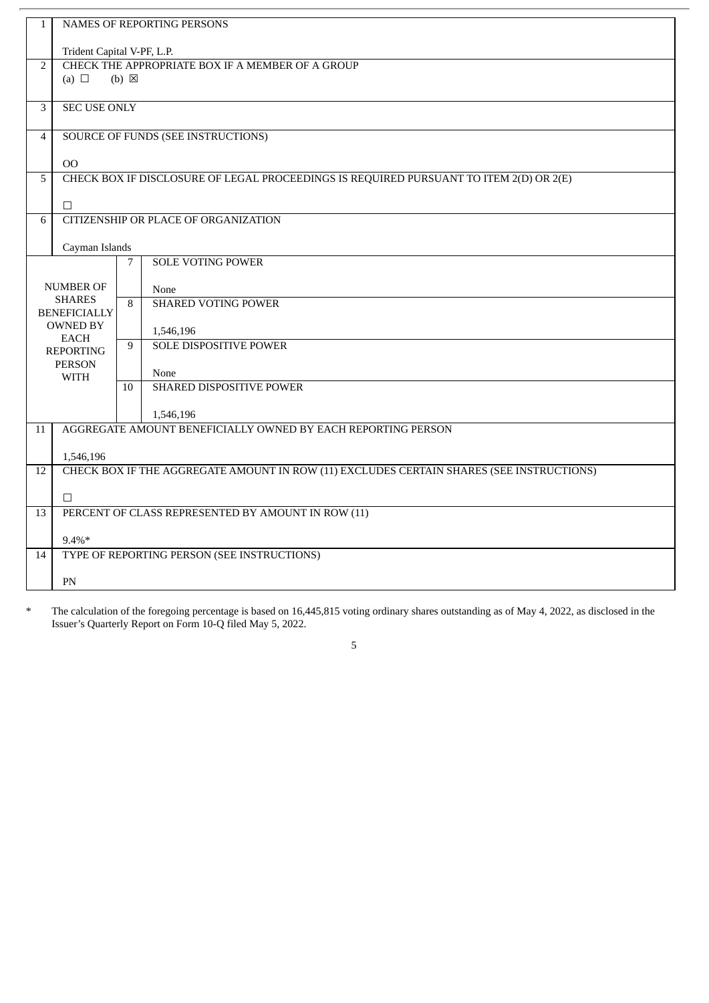| $\mathbf{1}$   | <b>NAMES OF REPORTING PERSONS</b>                  |                 |                                                                                          |  |  |  |
|----------------|----------------------------------------------------|-----------------|------------------------------------------------------------------------------------------|--|--|--|
|                | Trident Capital V-PF, L.P.                         |                 |                                                                                          |  |  |  |
| $\overline{2}$ | CHECK THE APPROPRIATE BOX IF A MEMBER OF A GROUP   |                 |                                                                                          |  |  |  |
|                | (a) $\Box$                                         | $(b) \boxtimes$ |                                                                                          |  |  |  |
|                |                                                    |                 |                                                                                          |  |  |  |
| 3              | <b>SEC USE ONLY</b>                                |                 |                                                                                          |  |  |  |
|                |                                                    |                 |                                                                                          |  |  |  |
| $\overline{4}$ |                                                    |                 | <b>SOURCE OF FUNDS (SEE INSTRUCTIONS)</b>                                                |  |  |  |
|                |                                                    |                 |                                                                                          |  |  |  |
|                | O <sub>O</sub>                                     |                 |                                                                                          |  |  |  |
| 5              |                                                    |                 | CHECK BOX IF DISCLOSURE OF LEGAL PROCEEDINGS IS REQUIRED PURSUANT TO ITEM 2(D) OR 2(E)   |  |  |  |
|                | $\Box$                                             |                 |                                                                                          |  |  |  |
| 6              |                                                    |                 | <b>CITIZENSHIP OR PLACE OF ORGANIZATION</b>                                              |  |  |  |
|                |                                                    |                 |                                                                                          |  |  |  |
|                | Cayman Islands                                     |                 |                                                                                          |  |  |  |
|                |                                                    | 7               | <b>SOLE VOTING POWER</b>                                                                 |  |  |  |
|                |                                                    |                 |                                                                                          |  |  |  |
|                | <b>NUMBER OF</b><br><b>SHARES</b>                  |                 | None                                                                                     |  |  |  |
|                | <b>BENEFICIALLY</b>                                | 8               | <b>SHARED VOTING POWER</b>                                                               |  |  |  |
|                | <b>OWNED BY</b>                                    |                 |                                                                                          |  |  |  |
|                | <b>EACH</b>                                        | 9               | 1,546,196<br><b>SOLE DISPOSITIVE POWER</b>                                               |  |  |  |
|                | <b>REPORTING</b>                                   |                 |                                                                                          |  |  |  |
|                | <b>PERSON</b><br><b>WITH</b>                       |                 | None                                                                                     |  |  |  |
|                |                                                    | 10              | SHARED DISPOSITIVE POWER                                                                 |  |  |  |
|                |                                                    |                 |                                                                                          |  |  |  |
|                |                                                    |                 | 1,546,196                                                                                |  |  |  |
| 11             |                                                    |                 | AGGREGATE AMOUNT BENEFICIALLY OWNED BY EACH REPORTING PERSON                             |  |  |  |
|                |                                                    |                 |                                                                                          |  |  |  |
|                | 1,546,196                                          |                 |                                                                                          |  |  |  |
| 12             |                                                    |                 | CHECK BOX IF THE AGGREGATE AMOUNT IN ROW (11) EXCLUDES CERTAIN SHARES (SEE INSTRUCTIONS) |  |  |  |
|                | $\Box$                                             |                 |                                                                                          |  |  |  |
| 13             | PERCENT OF CLASS REPRESENTED BY AMOUNT IN ROW (11) |                 |                                                                                          |  |  |  |
|                |                                                    |                 |                                                                                          |  |  |  |
|                | $9.4\%*$                                           |                 |                                                                                          |  |  |  |
| 14             |                                                    |                 | TYPE OF REPORTING PERSON (SEE INSTRUCTIONS)                                              |  |  |  |
|                |                                                    |                 |                                                                                          |  |  |  |
|                | PN                                                 |                 |                                                                                          |  |  |  |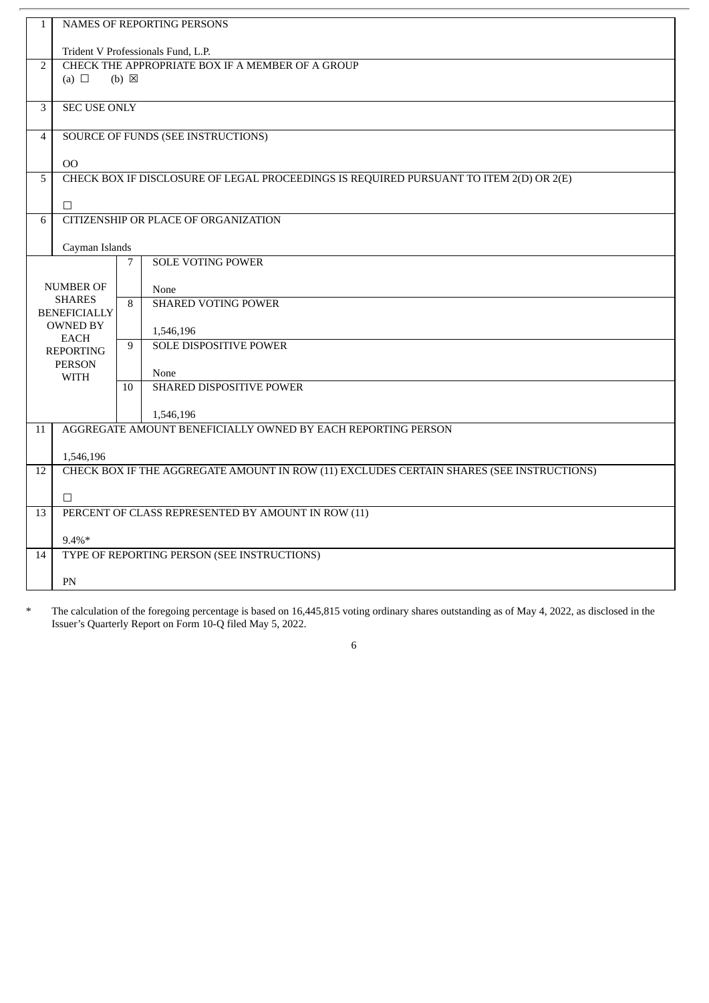| $\mathbf{1}$   |                                                                                          |                 | <b>NAMES OF REPORTING PERSONS</b>                                                      |  |  |  |
|----------------|------------------------------------------------------------------------------------------|-----------------|----------------------------------------------------------------------------------------|--|--|--|
|                |                                                                                          |                 |                                                                                        |  |  |  |
|                | Trident V Professionals Fund, L.P.                                                       |                 |                                                                                        |  |  |  |
| $\overline{2}$ |                                                                                          |                 | CHECK THE APPROPRIATE BOX IF A MEMBER OF A GROUP                                       |  |  |  |
|                | (a) $\Box$                                                                               | $(b) \boxtimes$ |                                                                                        |  |  |  |
|                |                                                                                          |                 |                                                                                        |  |  |  |
| 3              | <b>SEC USE ONLY</b>                                                                      |                 |                                                                                        |  |  |  |
| $\overline{4}$ |                                                                                          |                 | SOURCE OF FUNDS (SEE INSTRUCTIONS)                                                     |  |  |  |
|                |                                                                                          |                 |                                                                                        |  |  |  |
|                | <b>OO</b>                                                                                |                 |                                                                                        |  |  |  |
| 5              |                                                                                          |                 | CHECK BOX IF DISCLOSURE OF LEGAL PROCEEDINGS IS REQUIRED PURSUANT TO ITEM 2(D) OR 2(E) |  |  |  |
|                | $\Box$                                                                                   |                 |                                                                                        |  |  |  |
| 6              |                                                                                          |                 | CITIZENSHIP OR PLACE OF ORGANIZATION                                                   |  |  |  |
|                |                                                                                          |                 |                                                                                        |  |  |  |
|                | Cayman Islands                                                                           |                 |                                                                                        |  |  |  |
|                |                                                                                          | $\overline{7}$  | <b>SOLE VOTING POWER</b>                                                               |  |  |  |
|                | <b>NUMBER OF</b>                                                                         |                 |                                                                                        |  |  |  |
|                | <b>SHARES</b>                                                                            | 8               | None<br><b>SHARED VOTING POWER</b>                                                     |  |  |  |
|                | <b>BENEFICIALLY</b>                                                                      |                 |                                                                                        |  |  |  |
|                | <b>OWNED BY</b>                                                                          |                 | 1,546,196                                                                              |  |  |  |
|                | <b>EACH</b><br><b>REPORTING</b>                                                          | 9               | <b>SOLE DISPOSITIVE POWER</b>                                                          |  |  |  |
|                | <b>PERSON</b>                                                                            |                 |                                                                                        |  |  |  |
|                | <b>WITH</b>                                                                              |                 | None                                                                                   |  |  |  |
|                |                                                                                          | 10 <sup>1</sup> | SHARED DISPOSITIVE POWER                                                               |  |  |  |
|                |                                                                                          |                 | 1,546,196                                                                              |  |  |  |
| 11             |                                                                                          |                 | AGGREGATE AMOUNT BENEFICIALLY OWNED BY EACH REPORTING PERSON                           |  |  |  |
|                |                                                                                          |                 |                                                                                        |  |  |  |
|                | 1,546,196                                                                                |                 |                                                                                        |  |  |  |
| 12             | CHECK BOX IF THE AGGREGATE AMOUNT IN ROW (11) EXCLUDES CERTAIN SHARES (SEE INSTRUCTIONS) |                 |                                                                                        |  |  |  |
|                | $\Box$                                                                                   |                 |                                                                                        |  |  |  |
| 13             | PERCENT OF CLASS REPRESENTED BY AMOUNT IN ROW (11)                                       |                 |                                                                                        |  |  |  |
|                |                                                                                          |                 |                                                                                        |  |  |  |
|                | $9.4\%*$                                                                                 |                 |                                                                                        |  |  |  |
| 14             |                                                                                          |                 | TYPE OF REPORTING PERSON (SEE INSTRUCTIONS)                                            |  |  |  |
|                |                                                                                          |                 |                                                                                        |  |  |  |
|                | ${\rm PN}$                                                                               |                 |                                                                                        |  |  |  |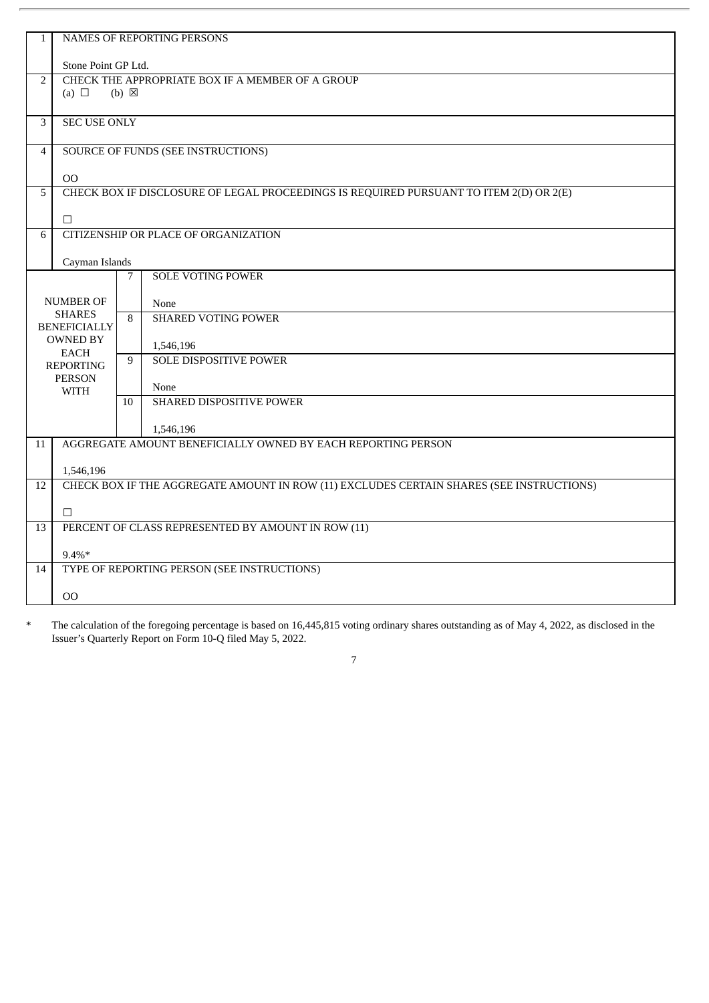| $\mathbf{1}$   | <b>NAMES OF REPORTING PERSONS</b>                                       |                 |                                                                                          |  |  |  |
|----------------|-------------------------------------------------------------------------|-----------------|------------------------------------------------------------------------------------------|--|--|--|
|                |                                                                         |                 |                                                                                          |  |  |  |
| $\overline{2}$ | Stone Point GP Ltd.<br>CHECK THE APPROPRIATE BOX IF A MEMBER OF A GROUP |                 |                                                                                          |  |  |  |
|                | (a) $\Box$                                                              | $(b) \boxtimes$ |                                                                                          |  |  |  |
|                |                                                                         |                 |                                                                                          |  |  |  |
| 3              | <b>SEC USE ONLY</b>                                                     |                 |                                                                                          |  |  |  |
|                |                                                                         |                 |                                                                                          |  |  |  |
| $\overline{4}$ |                                                                         |                 | <b>SOURCE OF FUNDS (SEE INSTRUCTIONS)</b>                                                |  |  |  |
|                | OO                                                                      |                 |                                                                                          |  |  |  |
| 5              |                                                                         |                 | CHECK BOX IF DISCLOSURE OF LEGAL PROCEEDINGS IS REQUIRED PURSUANT TO ITEM 2(D) OR 2(E)   |  |  |  |
|                |                                                                         |                 |                                                                                          |  |  |  |
| 6              | $\Box$                                                                  |                 | CITIZENSHIP OR PLACE OF ORGANIZATION                                                     |  |  |  |
|                |                                                                         |                 |                                                                                          |  |  |  |
|                | Cayman Islands                                                          |                 |                                                                                          |  |  |  |
|                |                                                                         | 7               | <b>SOLE VOTING POWER</b>                                                                 |  |  |  |
|                | <b>NUMBER OF</b>                                                        |                 | None                                                                                     |  |  |  |
|                | <b>SHARES</b>                                                           | 8               | <b>SHARED VOTING POWER</b>                                                               |  |  |  |
|                | <b>BENEFICIALLY</b>                                                     |                 |                                                                                          |  |  |  |
|                | <b>OWNED BY</b><br><b>EACH</b>                                          |                 | 1,546,196                                                                                |  |  |  |
|                | <b>REPORTING</b>                                                        |                 | <b>SOLE DISPOSITIVE POWER</b>                                                            |  |  |  |
|                | <b>PERSON</b>                                                           |                 |                                                                                          |  |  |  |
|                | <b>WITH</b>                                                             | 10              | None<br>SHARED DISPOSITIVE POWER                                                         |  |  |  |
|                |                                                                         |                 |                                                                                          |  |  |  |
|                |                                                                         |                 | 1,546,196                                                                                |  |  |  |
| 11             |                                                                         |                 | AGGREGATE AMOUNT BENEFICIALLY OWNED BY EACH REPORTING PERSON                             |  |  |  |
|                | 1,546,196                                                               |                 |                                                                                          |  |  |  |
| 12             |                                                                         |                 | CHECK BOX IF THE AGGREGATE AMOUNT IN ROW (11) EXCLUDES CERTAIN SHARES (SEE INSTRUCTIONS) |  |  |  |
|                |                                                                         |                 |                                                                                          |  |  |  |
|                | $\Box$                                                                  |                 |                                                                                          |  |  |  |
| 13             |                                                                         |                 | PERCENT OF CLASS REPRESENTED BY AMOUNT IN ROW (11)                                       |  |  |  |
|                | $9.4\%*$                                                                |                 |                                                                                          |  |  |  |
| 14             |                                                                         |                 | TYPE OF REPORTING PERSON (SEE INSTRUCTIONS)                                              |  |  |  |
|                |                                                                         |                 |                                                                                          |  |  |  |
|                | OO                                                                      |                 |                                                                                          |  |  |  |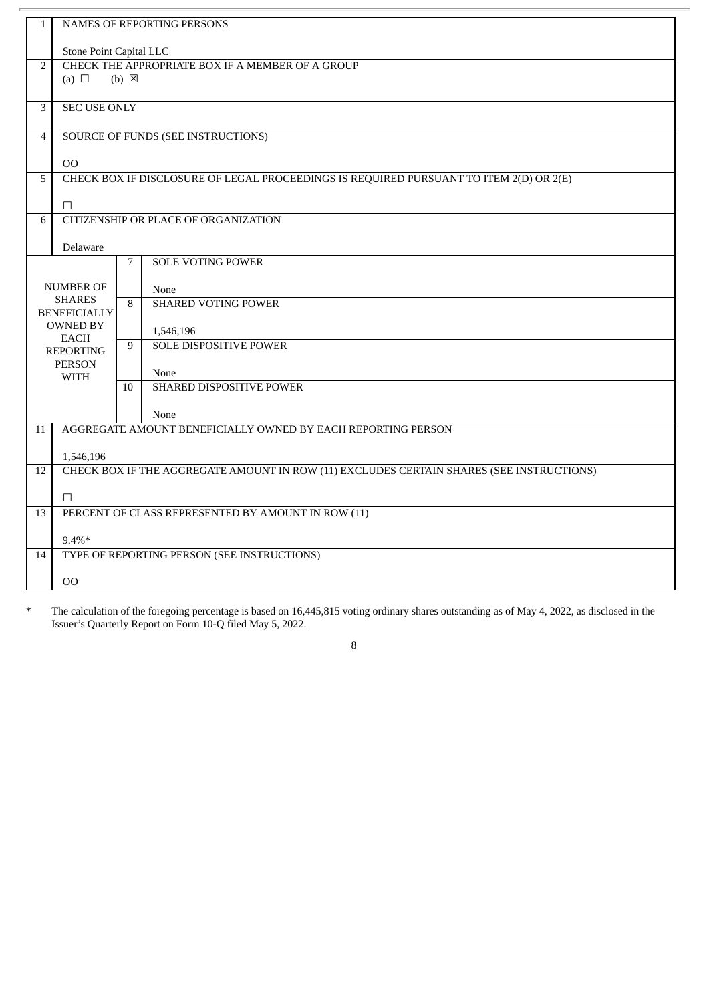| $\mathbf{1}$   |                                                    |                 |                                                                                          |  |  |  |
|----------------|----------------------------------------------------|-----------------|------------------------------------------------------------------------------------------|--|--|--|
|                | NAMES OF REPORTING PERSONS                         |                 |                                                                                          |  |  |  |
|                | Stone Point Capital LLC                            |                 |                                                                                          |  |  |  |
| $\overline{2}$ |                                                    |                 | CHECK THE APPROPRIATE BOX IF A MEMBER OF A GROUP                                         |  |  |  |
|                | (a) $\Box$                                         | $(b) \boxtimes$ |                                                                                          |  |  |  |
|                |                                                    |                 |                                                                                          |  |  |  |
| 3              | <b>SEC USE ONLY</b>                                |                 |                                                                                          |  |  |  |
| $\overline{4}$ |                                                    |                 | <b>SOURCE OF FUNDS (SEE INSTRUCTIONS)</b>                                                |  |  |  |
|                |                                                    |                 |                                                                                          |  |  |  |
|                | O <sub>O</sub>                                     |                 |                                                                                          |  |  |  |
| 5              |                                                    |                 | CHECK BOX IF DISCLOSURE OF LEGAL PROCEEDINGS IS REQUIRED PURSUANT TO ITEM 2(D) OR 2(E)   |  |  |  |
|                | $\Box$                                             |                 |                                                                                          |  |  |  |
| 6              |                                                    |                 | CITIZENSHIP OR PLACE OF ORGANIZATION                                                     |  |  |  |
|                |                                                    |                 |                                                                                          |  |  |  |
|                | Delaware                                           |                 |                                                                                          |  |  |  |
|                |                                                    | 7               | <b>SOLE VOTING POWER</b>                                                                 |  |  |  |
|                | <b>NUMBER OF</b>                                   |                 | None                                                                                     |  |  |  |
|                | <b>SHARES</b>                                      | 8               | <b>SHARED VOTING POWER</b>                                                               |  |  |  |
|                | <b>BENEFICIALLY</b>                                |                 |                                                                                          |  |  |  |
|                | <b>OWNED BY</b>                                    |                 | 1,546,196                                                                                |  |  |  |
|                | <b>EACH</b><br><b>REPORTING</b>                    | 9               | <b>SOLE DISPOSITIVE POWER</b>                                                            |  |  |  |
|                | <b>PERSON</b>                                      |                 |                                                                                          |  |  |  |
|                | <b>WITH</b>                                        |                 | None                                                                                     |  |  |  |
|                |                                                    | 10              | SHARED DISPOSITIVE POWER                                                                 |  |  |  |
|                |                                                    |                 | None                                                                                     |  |  |  |
| 11             |                                                    |                 | AGGREGATE AMOUNT BENEFICIALLY OWNED BY EACH REPORTING PERSON                             |  |  |  |
|                |                                                    |                 |                                                                                          |  |  |  |
|                | 1,546,196                                          |                 |                                                                                          |  |  |  |
| 12             |                                                    |                 | CHECK BOX IF THE AGGREGATE AMOUNT IN ROW (11) EXCLUDES CERTAIN SHARES (SEE INSTRUCTIONS) |  |  |  |
|                | $\Box$                                             |                 |                                                                                          |  |  |  |
| 13             | PERCENT OF CLASS REPRESENTED BY AMOUNT IN ROW (11) |                 |                                                                                          |  |  |  |
|                |                                                    |                 |                                                                                          |  |  |  |
|                | $9.4\%*$                                           |                 |                                                                                          |  |  |  |
| 14             | TYPE OF REPORTING PERSON (SEE INSTRUCTIONS)        |                 |                                                                                          |  |  |  |
|                | OO                                                 |                 |                                                                                          |  |  |  |
|                |                                                    |                 |                                                                                          |  |  |  |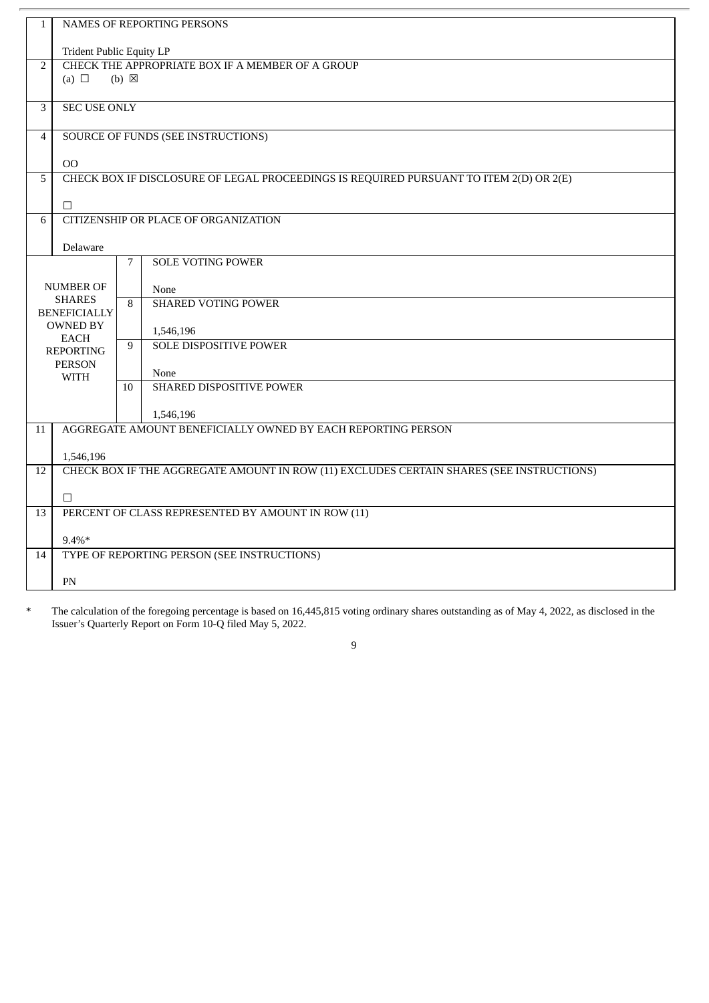| $\mathbf{1}$   | NAMES OF REPORTING PERSONS                         |                 |                                                                                          |  |  |  |  |
|----------------|----------------------------------------------------|-----------------|------------------------------------------------------------------------------------------|--|--|--|--|
|                | <b>Trident Public Equity LP</b>                    |                 |                                                                                          |  |  |  |  |
| $\overline{2}$ | CHECK THE APPROPRIATE BOX IF A MEMBER OF A GROUP   |                 |                                                                                          |  |  |  |  |
|                | (a) $\Box$                                         | $(b) \boxtimes$ |                                                                                          |  |  |  |  |
|                |                                                    |                 |                                                                                          |  |  |  |  |
| 3              | <b>SEC USE ONLY</b>                                |                 |                                                                                          |  |  |  |  |
|                |                                                    |                 |                                                                                          |  |  |  |  |
| $\overline{4}$ |                                                    |                 | <b>SOURCE OF FUNDS (SEE INSTRUCTIONS)</b>                                                |  |  |  |  |
|                |                                                    |                 |                                                                                          |  |  |  |  |
|                | <b>OO</b>                                          |                 |                                                                                          |  |  |  |  |
| 5              |                                                    |                 | CHECK BOX IF DISCLOSURE OF LEGAL PROCEEDINGS IS REQUIRED PURSUANT TO ITEM 2(D) OR 2(E)   |  |  |  |  |
|                | $\Box$                                             |                 |                                                                                          |  |  |  |  |
| 6              |                                                    |                 | <b>CITIZENSHIP OR PLACE OF ORGANIZATION</b>                                              |  |  |  |  |
|                |                                                    |                 |                                                                                          |  |  |  |  |
|                | Delaware                                           |                 |                                                                                          |  |  |  |  |
|                |                                                    | 7               | <b>SOLE VOTING POWER</b>                                                                 |  |  |  |  |
|                |                                                    |                 |                                                                                          |  |  |  |  |
|                | <b>NUMBER OF</b>                                   |                 | None                                                                                     |  |  |  |  |
|                | <b>SHARES</b><br><b>BENEFICIALLY</b>               | 8               | <b>SHARED VOTING POWER</b>                                                               |  |  |  |  |
|                | <b>OWNED BY</b>                                    |                 |                                                                                          |  |  |  |  |
|                | <b>EACH</b>                                        | 9               | 1,546,196<br><b>SOLE DISPOSITIVE POWER</b>                                               |  |  |  |  |
|                | <b>REPORTING</b>                                   |                 |                                                                                          |  |  |  |  |
|                | <b>PERSON</b>                                      |                 | None                                                                                     |  |  |  |  |
|                | <b>WITH</b>                                        | 10              | SHARED DISPOSITIVE POWER                                                                 |  |  |  |  |
|                |                                                    |                 |                                                                                          |  |  |  |  |
|                |                                                    |                 | 1,546,196                                                                                |  |  |  |  |
| 11             |                                                    |                 | AGGREGATE AMOUNT BENEFICIALLY OWNED BY EACH REPORTING PERSON                             |  |  |  |  |
|                |                                                    |                 |                                                                                          |  |  |  |  |
|                | 1,546,196                                          |                 |                                                                                          |  |  |  |  |
| 12             |                                                    |                 | CHECK BOX IF THE AGGREGATE AMOUNT IN ROW (11) EXCLUDES CERTAIN SHARES (SEE INSTRUCTIONS) |  |  |  |  |
|                | $\Box$                                             |                 |                                                                                          |  |  |  |  |
| 13             | PERCENT OF CLASS REPRESENTED BY AMOUNT IN ROW (11) |                 |                                                                                          |  |  |  |  |
|                |                                                    |                 |                                                                                          |  |  |  |  |
|                | $9.4\%*$                                           |                 |                                                                                          |  |  |  |  |
| 14             |                                                    |                 | TYPE OF REPORTING PERSON (SEE INSTRUCTIONS)                                              |  |  |  |  |
|                |                                                    |                 |                                                                                          |  |  |  |  |
|                | PN                                                 |                 |                                                                                          |  |  |  |  |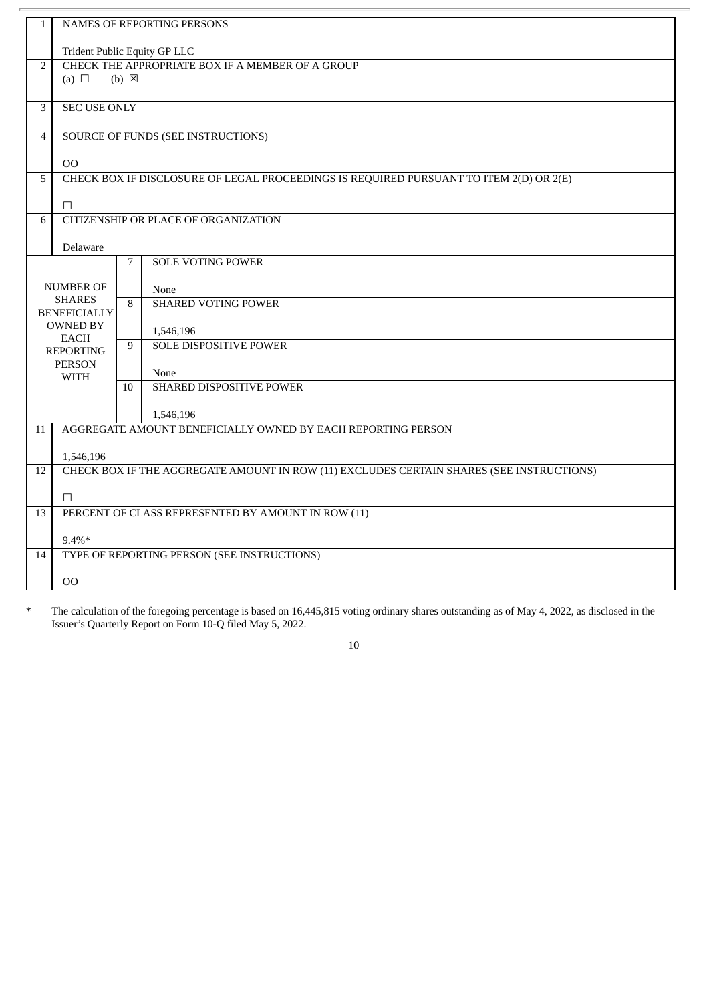| $\mathbf{1}$   | NAMES OF REPORTING PERSONS                         |                 |                                                                                          |  |  |  |
|----------------|----------------------------------------------------|-----------------|------------------------------------------------------------------------------------------|--|--|--|
|                | <b>Trident Public Equity GP LLC</b>                |                 |                                                                                          |  |  |  |
| $\overline{2}$ | CHECK THE APPROPRIATE BOX IF A MEMBER OF A GROUP   |                 |                                                                                          |  |  |  |
|                | (a) $\Box$                                         | $(b) \boxtimes$ |                                                                                          |  |  |  |
|                |                                                    |                 |                                                                                          |  |  |  |
| 3              | <b>SEC USE ONLY</b>                                |                 |                                                                                          |  |  |  |
|                |                                                    |                 |                                                                                          |  |  |  |
| $\overline{4}$ |                                                    |                 | SOURCE OF FUNDS (SEE INSTRUCTIONS)                                                       |  |  |  |
|                |                                                    |                 |                                                                                          |  |  |  |
|                | O <sub>O</sub>                                     |                 |                                                                                          |  |  |  |
| 5              |                                                    |                 | CHECK BOX IF DISCLOSURE OF LEGAL PROCEEDINGS IS REQUIRED PURSUANT TO ITEM 2(D) OR 2(E)   |  |  |  |
|                | $\Box$                                             |                 |                                                                                          |  |  |  |
| 6              |                                                    |                 | <b>CITIZENSHIP OR PLACE OF ORGANIZATION</b>                                              |  |  |  |
|                |                                                    |                 |                                                                                          |  |  |  |
|                | Delaware                                           |                 |                                                                                          |  |  |  |
|                |                                                    | 7               | <b>SOLE VOTING POWER</b>                                                                 |  |  |  |
|                |                                                    |                 |                                                                                          |  |  |  |
|                | <b>NUMBER OF</b><br><b>SHARES</b>                  |                 | None                                                                                     |  |  |  |
|                | <b>BENEFICIALLY</b>                                | 8               | <b>SHARED VOTING POWER</b>                                                               |  |  |  |
|                | <b>OWNED BY</b>                                    |                 |                                                                                          |  |  |  |
|                | <b>EACH</b>                                        | 9               | 1,546,196<br><b>SOLE DISPOSITIVE POWER</b>                                               |  |  |  |
|                | <b>REPORTING</b>                                   |                 |                                                                                          |  |  |  |
|                | <b>PERSON</b>                                      |                 | None                                                                                     |  |  |  |
|                | <b>WITH</b>                                        | 10              | SHARED DISPOSITIVE POWER                                                                 |  |  |  |
|                |                                                    |                 |                                                                                          |  |  |  |
|                |                                                    |                 | 1,546,196                                                                                |  |  |  |
| 11             |                                                    |                 | AGGREGATE AMOUNT BENEFICIALLY OWNED BY EACH REPORTING PERSON                             |  |  |  |
|                |                                                    |                 |                                                                                          |  |  |  |
|                | 1,546,196                                          |                 |                                                                                          |  |  |  |
| 12             |                                                    |                 | CHECK BOX IF THE AGGREGATE AMOUNT IN ROW (11) EXCLUDES CERTAIN SHARES (SEE INSTRUCTIONS) |  |  |  |
|                | $\Box$                                             |                 |                                                                                          |  |  |  |
| 13             | PERCENT OF CLASS REPRESENTED BY AMOUNT IN ROW (11) |                 |                                                                                          |  |  |  |
|                |                                                    |                 |                                                                                          |  |  |  |
|                | $9.4\%*$                                           |                 |                                                                                          |  |  |  |
| 14             |                                                    |                 | TYPE OF REPORTING PERSON (SEE INSTRUCTIONS)                                              |  |  |  |
|                |                                                    |                 |                                                                                          |  |  |  |
|                | OO                                                 |                 |                                                                                          |  |  |  |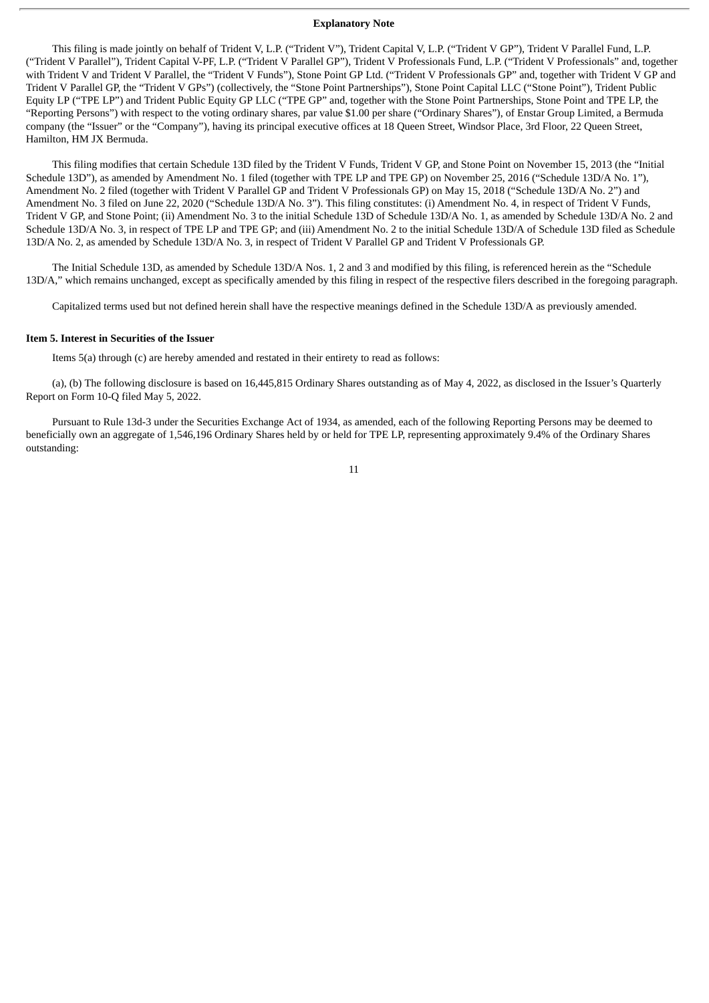#### **Explanatory Note**

This filing is made jointly on behalf of Trident V, L.P. ("Trident V"), Trident Capital V, L.P. ("Trident V GP"), Trident V Parallel Fund, L.P. ("Trident V Parallel"), Trident Capital V-PF, L.P. ("Trident V Parallel GP"), Trident V Professionals Fund, L.P. ("Trident V Professionals" and, together with Trident V and Trident V Parallel, the "Trident V Funds"), Stone Point GP Ltd. ("Trident V Professionals GP" and, together with Trident V GP and Trident V Parallel GP, the "Trident V GPs") (collectively, the "Stone Point Partnerships"), Stone Point Capital LLC ("Stone Point"), Trident Public Equity LP ("TPE LP") and Trident Public Equity GP LLC ("TPE GP" and, together with the Stone Point Partnerships, Stone Point and TPE LP, the "Reporting Persons") with respect to the voting ordinary shares, par value \$1.00 per share ("Ordinary Shares"), of Enstar Group Limited, a Bermuda company (the "Issuer" or the "Company"), having its principal executive offices at 18 Queen Street, Windsor Place, 3rd Floor, 22 Queen Street, Hamilton, HM JX Bermuda.

This filing modifies that certain Schedule 13D filed by the Trident V Funds, Trident V GP, and Stone Point on November 15, 2013 (the "Initial Schedule 13D"), as amended by Amendment No. 1 filed (together with TPE LP and TPE GP) on November 25, 2016 ("Schedule 13D/A No. 1"), Amendment No. 2 filed (together with Trident V Parallel GP and Trident V Professionals GP) on May 15, 2018 ("Schedule 13D/A No. 2") and Amendment No. 3 filed on June 22, 2020 ("Schedule 13D/A No. 3"). This filing constitutes: (i) Amendment No. 4, in respect of Trident V Funds, Trident V GP, and Stone Point; (ii) Amendment No. 3 to the initial Schedule 13D of Schedule 13D/A No. 1, as amended by Schedule 13D/A No. 2 and Schedule 13D/A No. 3, in respect of TPE LP and TPE GP; and (iii) Amendment No. 2 to the initial Schedule 13D/A of Schedule 13D filed as Schedule 13D/A No. 2, as amended by Schedule 13D/A No. 3, in respect of Trident V Parallel GP and Trident V Professionals GP.

The Initial Schedule 13D, as amended by Schedule 13D/A Nos. 1, 2 and 3 and modified by this filing, is referenced herein as the "Schedule 13D/A," which remains unchanged, except as specifically amended by this filing in respect of the respective filers described in the foregoing paragraph.

Capitalized terms used but not defined herein shall have the respective meanings defined in the Schedule 13D/A as previously amended.

#### **Item 5. Interest in Securities of the Issuer**

Items 5(a) through (c) are hereby amended and restated in their entirety to read as follows:

(a), (b) The following disclosure is based on 16,445,815 Ordinary Shares outstanding as of May 4, 2022, as disclosed in the Issuer's Quarterly Report on Form 10-Q filed May 5, 2022.

Pursuant to Rule 13d-3 under the Securities Exchange Act of 1934, as amended, each of the following Reporting Persons may be deemed to beneficially own an aggregate of 1,546,196 Ordinary Shares held by or held for TPE LP, representing approximately 9.4% of the Ordinary Shares outstanding: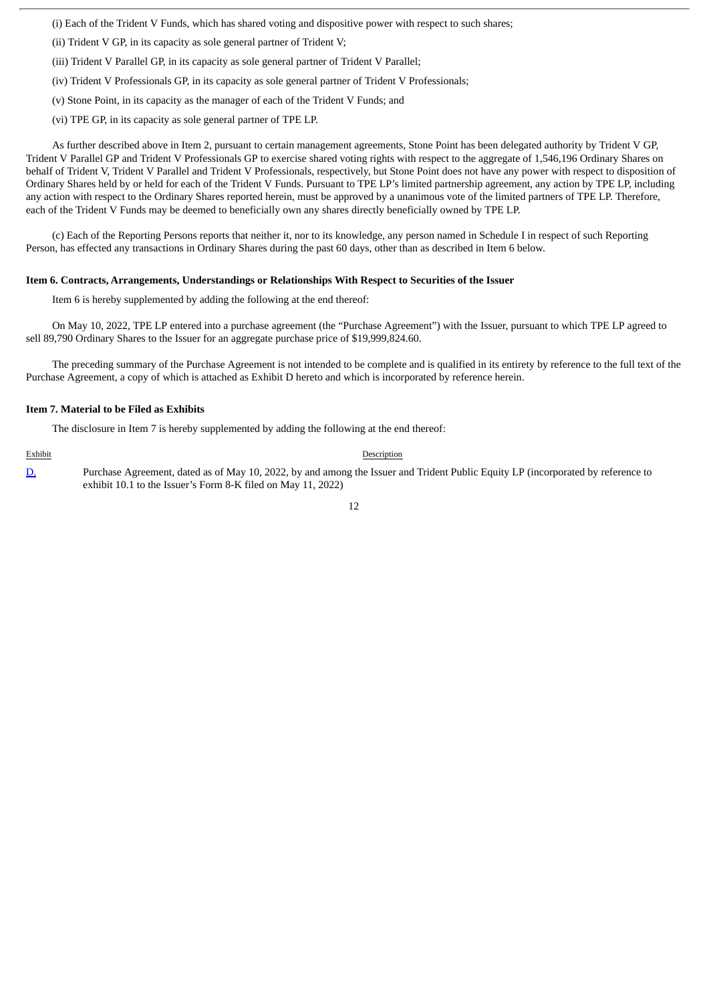(i) Each of the Trident V Funds, which has shared voting and dispositive power with respect to such shares;

(ii) Trident V GP, in its capacity as sole general partner of Trident V;

(iii) Trident V Parallel GP, in its capacity as sole general partner of Trident V Parallel;

(iv) Trident V Professionals GP, in its capacity as sole general partner of Trident V Professionals;

(v) Stone Point, in its capacity as the manager of each of the Trident V Funds; and

(vi) TPE GP, in its capacity as sole general partner of TPE LP.

As further described above in Item 2, pursuant to certain management agreements, Stone Point has been delegated authority by Trident V GP, Trident V Parallel GP and Trident V Professionals GP to exercise shared voting rights with respect to the aggregate of 1,546,196 Ordinary Shares on behalf of Trident V, Trident V Parallel and Trident V Professionals, respectively, but Stone Point does not have any power with respect to disposition of Ordinary Shares held by or held for each of the Trident V Funds. Pursuant to TPE LP's limited partnership agreement, any action by TPE LP, including any action with respect to the Ordinary Shares reported herein, must be approved by a unanimous vote of the limited partners of TPE LP. Therefore, each of the Trident V Funds may be deemed to beneficially own any shares directly beneficially owned by TPE LP.

(c) Each of the Reporting Persons reports that neither it, nor to its knowledge, any person named in Schedule I in respect of such Reporting Person, has effected any transactions in Ordinary Shares during the past 60 days, other than as described in Item 6 below.

#### **Item 6. Contracts, Arrangements, Understandings or Relationships With Respect to Securities of the Issuer**

Item 6 is hereby supplemented by adding the following at the end thereof:

On May 10, 2022, TPE LP entered into a purchase agreement (the "Purchase Agreement") with the Issuer, pursuant to which TPE LP agreed to sell 89,790 Ordinary Shares to the Issuer for an aggregate purchase price of \$19,999,824.60.

The preceding summary of the Purchase Agreement is not intended to be complete and is qualified in its entirety by reference to the full text of the Purchase Agreement, a copy of which is attached as Exhibit D hereto and which is incorporated by reference herein.

#### **Item 7. Material to be Filed as Exhibits**

The disclosure in Item 7 is hereby supplemented by adding the following at the end thereof:

Exhibit Description

[D.](http://www.sec.gov/Archives/edgar/data/1363829/000089322007000179/w29726exv10w1.txt) Purchase Agreement, dated as of May 10, 2022, by and among the Issuer and Trident Public Equity LP (incorporated by reference to exhibit 10.1 to the Issuer's Form 8-K filed on May 11, 2022)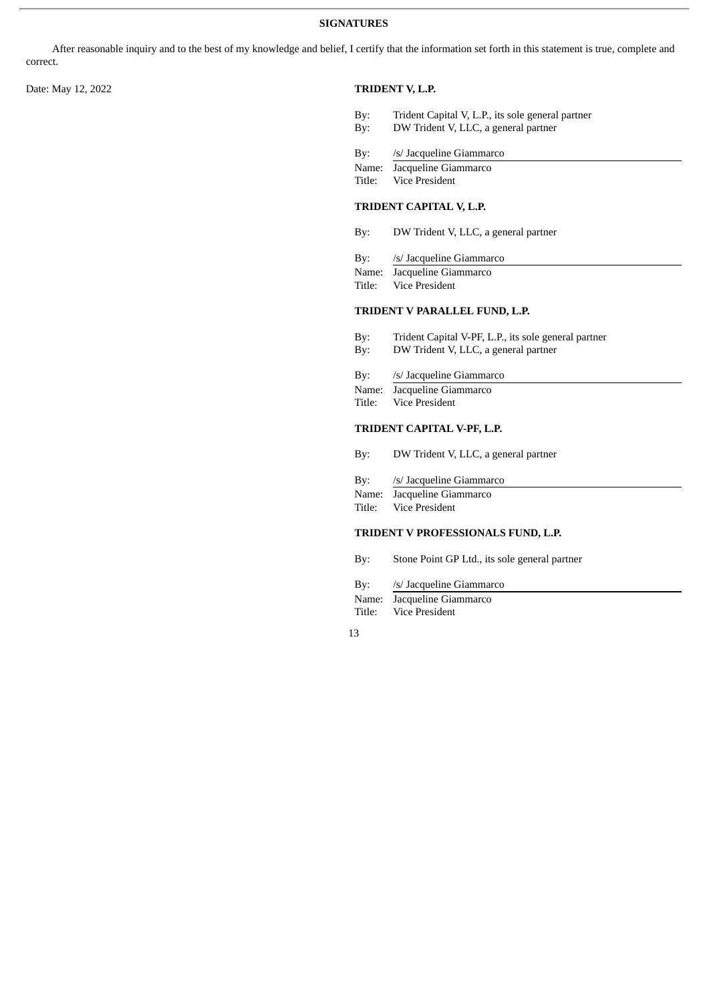After reasonable inquiry and to the best of my knowledge and belief, I certify that the information set forth in this statement is true, complete and correct.

#### Date: May 12, 2022 **TRIDENT V, L.P.**

- By: Trident Capital V, L.P., its sole general partner<br>By: DW Trident V, LLC, a general partner
- By: DW Trident V, LLC, a general partner
- By: /s/ Jacqueline Giammarco
- Name: Jacqueline Giammarco
- Title: Vice President

#### **TRIDENT CAPITAL V, L.P.**

- By: DW Trident V, LLC, a general partner
- By: /s/ Jacqueline Giammarco
- Name: Jacqueline Giammarco
- Title: Vice President

#### **TRIDENT V PARALLEL FUND, L.P.**

- By: Trident Capital V-PF, L.P., its sole general partner
- By: DW Trident V, LLC, a general partner
- By: /s/ Jacqueline Giammarco
- Name: Jacqueline Giammarco
- Title: Vice President

## **TRIDENT CAPITAL V-PF, L.P.**

- By: DW Trident V, LLC, a general partner
- By: /s/ Jacqueline Giammarco
- Name: Jacqueline Giammarco
- Title: Vice President

### **TRIDENT V PROFESSIONALS FUND, L.P.**

- By: Stone Point GP Ltd., its sole general partner
- By: /s/ Jacqueline Giammarco
- Name: Jacqueline Giammarco Title: Vice President
- 13